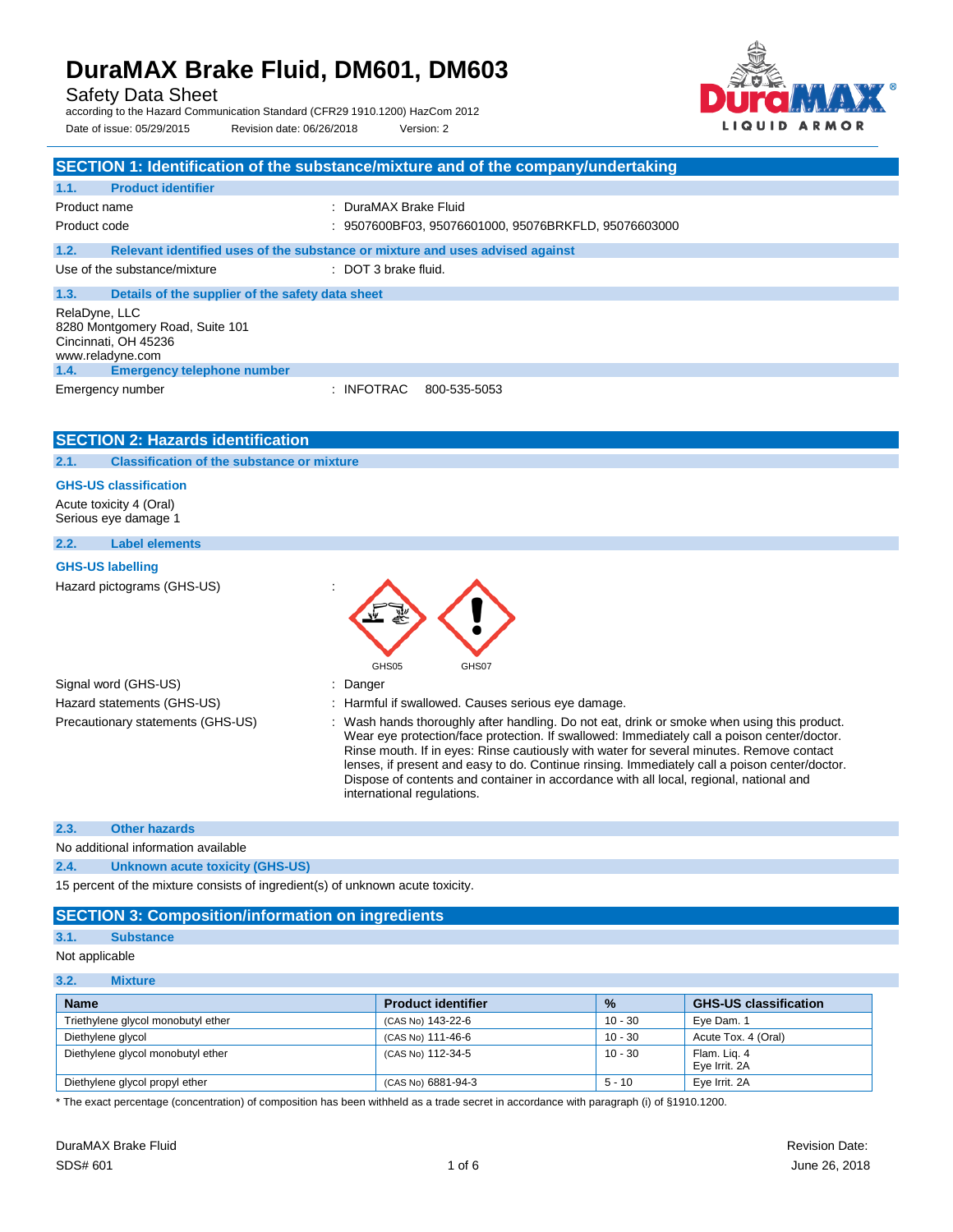## **DuraMAX Brake Fluid, DM601, DM603**

Safety Data Sheet

according to the Hazard Communication Standard (CFR29 1910.1200) HazCom 2012 Date of issue: 05/29/2015 Revision date: 06/26/2018 Version: 2



|                                                                                              | SECTION 1: Identification of the substance/mixture and of the company/undertaking                                                                                                                                                                                                                                                                                                                                                                                                                               |
|----------------------------------------------------------------------------------------------|-----------------------------------------------------------------------------------------------------------------------------------------------------------------------------------------------------------------------------------------------------------------------------------------------------------------------------------------------------------------------------------------------------------------------------------------------------------------------------------------------------------------|
| <b>Product identifier</b><br>1.1.                                                            |                                                                                                                                                                                                                                                                                                                                                                                                                                                                                                                 |
| Product name                                                                                 | : DuraMAX Brake Fluid                                                                                                                                                                                                                                                                                                                                                                                                                                                                                           |
| Product code                                                                                 | : 9507600BF03, 95076601000, 95076BRKFLD, 95076603000                                                                                                                                                                                                                                                                                                                                                                                                                                                            |
| 1.2.                                                                                         | Relevant identified uses of the substance or mixture and uses advised against                                                                                                                                                                                                                                                                                                                                                                                                                                   |
| Use of the substance/mixture                                                                 | : DOT 3 brake fluid.                                                                                                                                                                                                                                                                                                                                                                                                                                                                                            |
| 1.3.<br>Details of the supplier of the safety data sheet                                     |                                                                                                                                                                                                                                                                                                                                                                                                                                                                                                                 |
| RelaDyne, LLC<br>8280 Montgomery Road, Suite 101<br>Cincinnati, OH 45236<br>www.reladyne.com |                                                                                                                                                                                                                                                                                                                                                                                                                                                                                                                 |
| 1.4.<br><b>Emergency telephone number</b>                                                    |                                                                                                                                                                                                                                                                                                                                                                                                                                                                                                                 |
| Emergency number                                                                             | : INFOTRAC<br>800-535-5053                                                                                                                                                                                                                                                                                                                                                                                                                                                                                      |
| <b>SECTION 2: Hazards identification</b>                                                     |                                                                                                                                                                                                                                                                                                                                                                                                                                                                                                                 |
| <b>Classification of the substance or mixture</b><br>2.1.                                    |                                                                                                                                                                                                                                                                                                                                                                                                                                                                                                                 |
| <b>GHS-US classification</b>                                                                 |                                                                                                                                                                                                                                                                                                                                                                                                                                                                                                                 |
| Acute toxicity 4 (Oral)<br>Serious eye damage 1                                              |                                                                                                                                                                                                                                                                                                                                                                                                                                                                                                                 |
| 2.2.<br><b>Label elements</b>                                                                |                                                                                                                                                                                                                                                                                                                                                                                                                                                                                                                 |
| <b>GHS-US labelling</b>                                                                      |                                                                                                                                                                                                                                                                                                                                                                                                                                                                                                                 |
| Hazard pictograms (GHS-US)                                                                   | GHS05<br>GHS07                                                                                                                                                                                                                                                                                                                                                                                                                                                                                                  |
| Signal word (GHS-US)                                                                         | : Danger                                                                                                                                                                                                                                                                                                                                                                                                                                                                                                        |
| Hazard statements (GHS-US)                                                                   | : Harmful if swallowed. Causes serious eye damage.                                                                                                                                                                                                                                                                                                                                                                                                                                                              |
| Precautionary statements (GHS-US)                                                            | : Wash hands thoroughly after handling. Do not eat, drink or smoke when using this product.<br>Wear eye protection/face protection. If swallowed: Immediately call a poison center/doctor.<br>Rinse mouth. If in eyes: Rinse cautiously with water for several minutes. Remove contact<br>lenses, if present and easy to do. Continue rinsing. Immediately call a poison center/doctor.<br>Dispose of contents and container in accordance with all local, regional, national and<br>international regulations. |
| 2.3.<br><b>Other hazards</b>                                                                 |                                                                                                                                                                                                                                                                                                                                                                                                                                                                                                                 |

No additional information available

**2.4. Unknown acute toxicity (GHS-US)**

15 percent of the mixture consists of ingredient(s) of unknown acute toxicity.

#### **SECTION 3: Composition/information on ingredients**

#### **3.1. Substance**

Not applicable

| 3.2.<br><b>Mixture</b> |  |
|------------------------|--|
|------------------------|--|

| <b>Name</b>                        | <b>Product identifier</b> | $\frac{9}{6}$ | <b>GHS-US classification</b>  |
|------------------------------------|---------------------------|---------------|-------------------------------|
| Triethylene glycol monobutyl ether | (CAS No) 143-22-6         | 10 - 30       | Eye Dam. 1                    |
| Diethylene glycol                  | (CAS No) 111-46-6         | $10 - 30$     | Acute Tox. 4 (Oral)           |
| Diethylene glycol monobutyl ether  | (CAS No) 112-34-5         | 10 - 30       | Flam. Lig. 4<br>Eye Irrit. 2A |
| Diethylene glycol propyl ether     | (CAS No) 6881-94-3        | $5 - 10$      | Eye Irrit. 2A                 |

\* The exact percentage (concentration) of composition has been withheld as a trade secret in accordance with paragraph (i) of §1910.1200.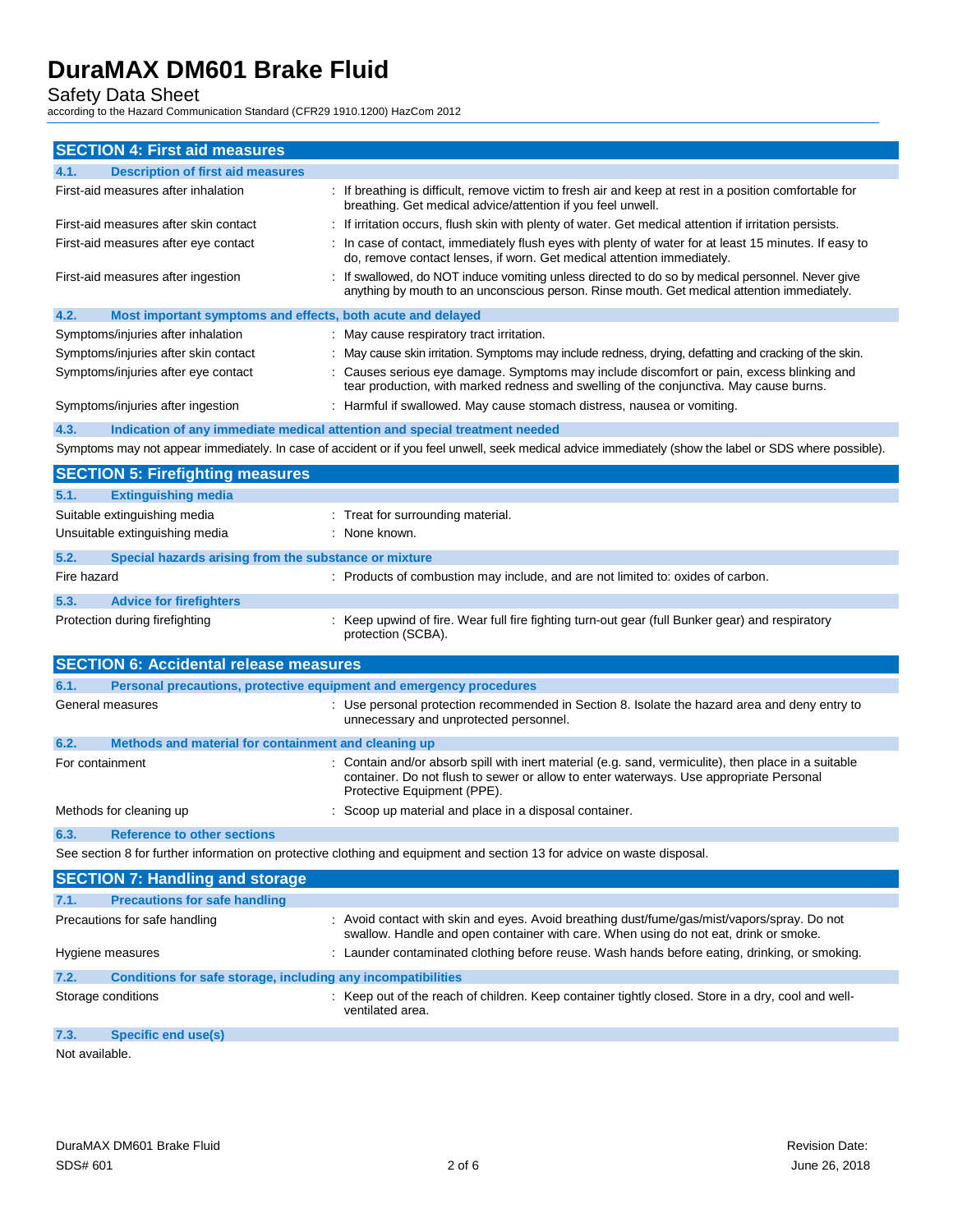Safety Data Sheet according to the Hazard Communication Standard (CFR29 1910.1200) HazCom 2012

| <b>SECTION 4: First aid measures</b>                                        |                                                                                                                                                                                                                               |
|-----------------------------------------------------------------------------|-------------------------------------------------------------------------------------------------------------------------------------------------------------------------------------------------------------------------------|
| <b>Description of first aid measures</b><br>4.1.                            |                                                                                                                                                                                                                               |
| First-aid measures after inhalation                                         | : If breathing is difficult, remove victim to fresh air and keep at rest in a position comfortable for<br>breathing. Get medical advice/attention if you feel unwell.                                                         |
| First-aid measures after skin contact                                       | : If irritation occurs, flush skin with plenty of water. Get medical attention if irritation persists.                                                                                                                        |
| First-aid measures after eye contact                                        | : In case of contact, immediately flush eyes with plenty of water for at least 15 minutes. If easy to<br>do, remove contact lenses, if worn. Get medical attention immediately.                                               |
| First-aid measures after ingestion                                          | If swallowed, do NOT induce vomiting unless directed to do so by medical personnel. Never give<br>anything by mouth to an unconscious person. Rinse mouth. Get medical attention immediately.                                 |
| 4.2.<br>Most important symptoms and effects, both acute and delayed         |                                                                                                                                                                                                                               |
| Symptoms/injuries after inhalation                                          | : May cause respiratory tract irritation.                                                                                                                                                                                     |
| Symptoms/injuries after skin contact                                        | May cause skin irritation. Symptoms may include redness, drying, defatting and cracking of the skin.                                                                                                                          |
| Symptoms/injuries after eye contact                                         | Causes serious eye damage. Symptoms may include discomfort or pain, excess blinking and<br>tear production, with marked redness and swelling of the conjunctiva. May cause burns.                                             |
| Symptoms/injuries after ingestion                                           | : Harmful if swallowed. May cause stomach distress, nausea or vomiting.                                                                                                                                                       |
| 4.3.                                                                        | Indication of any immediate medical attention and special treatment needed                                                                                                                                                    |
|                                                                             | Symptoms may not appear immediately. In case of accident or if you feel unwell, seek medical advice immediately (show the label or SDS where possible).                                                                       |
| <b>SECTION 5: Firefighting measures</b>                                     |                                                                                                                                                                                                                               |
| 5.1.<br><b>Extinguishing media</b>                                          |                                                                                                                                                                                                                               |
| Suitable extinguishing media                                                | : Treat for surrounding material.                                                                                                                                                                                             |
| Unsuitable extinguishing media                                              | : None known.                                                                                                                                                                                                                 |
| 5.2.<br>Special hazards arising from the substance or mixture               |                                                                                                                                                                                                                               |
| Fire hazard                                                                 | : Products of combustion may include, and are not limited to: oxides of carbon.                                                                                                                                               |
| 5.3.<br><b>Advice for firefighters</b>                                      |                                                                                                                                                                                                                               |
| Protection during firefighting                                              | Keep upwind of fire. Wear full fire fighting turn-out gear (full Bunker gear) and respiratory<br>protection (SCBA).                                                                                                           |
| <b>SECTION 6: Accidental release measures</b>                               |                                                                                                                                                                                                                               |
| Personal precautions, protective equipment and emergency procedures<br>6.1. |                                                                                                                                                                                                                               |
| General measures                                                            | : Use personal protection recommended in Section 8. Isolate the hazard area and deny entry to<br>unnecessary and unprotected personnel.                                                                                       |
| Methods and material for containment and cleaning up<br>6.2.                |                                                                                                                                                                                                                               |
| For containment                                                             | : Contain and/or absorb spill with inert material (e.g. sand, vermiculite), then place in a suitable<br>container. Do not flush to sewer or allow to enter waterways. Use appropriate Personal<br>Protective Equipment (PPE). |
| Methods for cleaning up                                                     | Scoop up material and place in a disposal container.                                                                                                                                                                          |
| 6.3.<br><b>Reference to other sections</b>                                  |                                                                                                                                                                                                                               |
|                                                                             | See section 8 for further information on protective clothing and equipment and section 13 for advice on waste disposal.                                                                                                       |
| <b>SECTION 7: Handling and storage</b>                                      |                                                                                                                                                                                                                               |
| <b>Precautions for safe handling</b><br>7.1.                                |                                                                                                                                                                                                                               |
| Precautions for safe handling                                               | : Avoid contact with skin and eyes. Avoid breathing dust/fume/gas/mist/vapors/spray. Do not<br>swallow. Handle and open container with care. When using do not eat, drink or smoke.                                           |
| Hygiene measures                                                            | : Launder contaminated clothing before reuse. Wash hands before eating, drinking, or smoking.                                                                                                                                 |
| 7.2.<br>Conditions for safe storage, including any incompatibilities        |                                                                                                                                                                                                                               |
| Storage conditions                                                          | : Keep out of the reach of children. Keep container tightly closed. Store in a dry, cool and well-<br>ventilated area.                                                                                                        |
| 7.3.<br><b>Specific end use(s)</b>                                          |                                                                                                                                                                                                                               |
| Not available.                                                              |                                                                                                                                                                                                                               |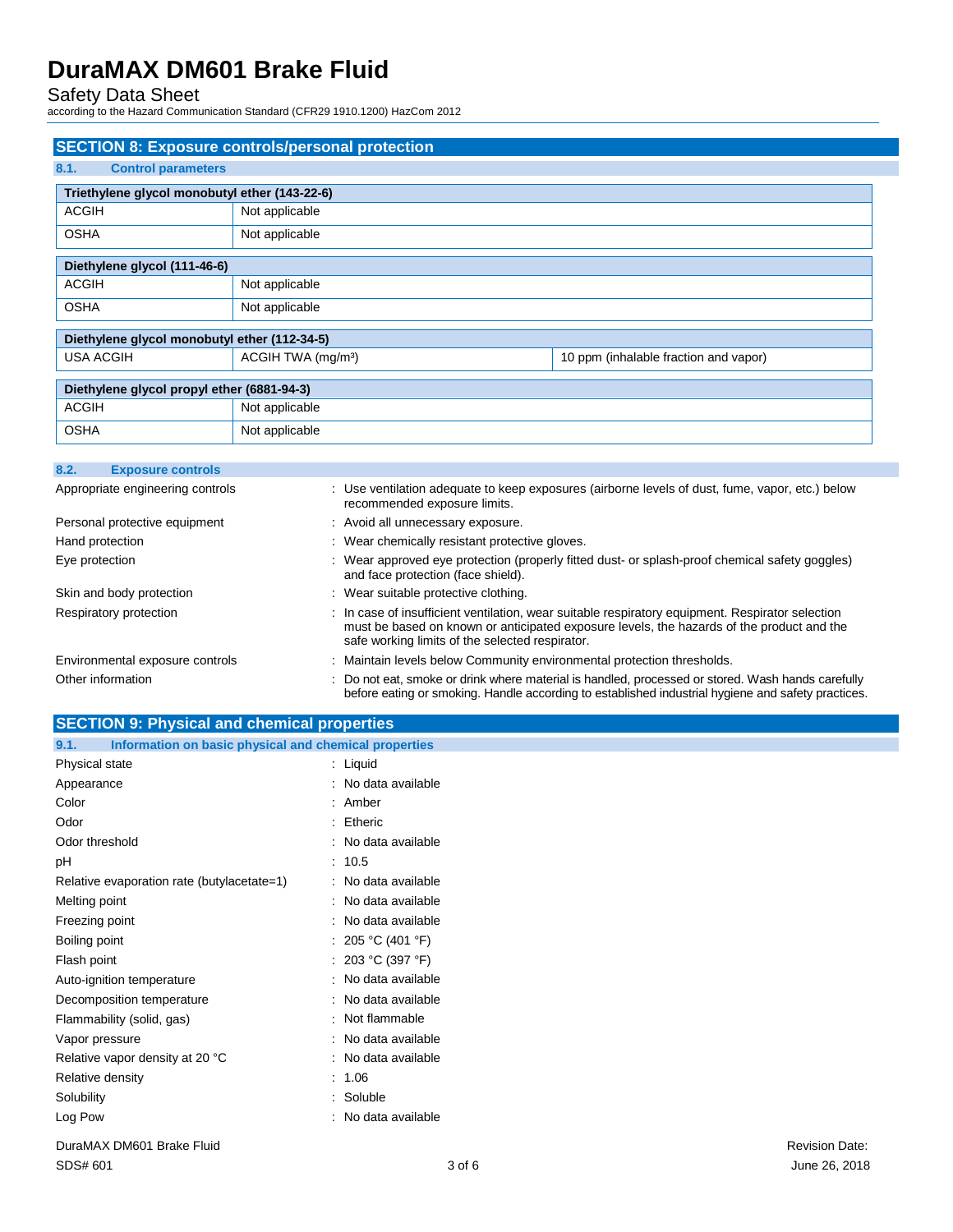Safety Data Sheet according to the Hazard Communication Standard (CFR29 1910.1200) HazCom 2012

|                                               | <b>SECTION 8: Exposure controls/personal protection</b> |                                       |
|-----------------------------------------------|---------------------------------------------------------|---------------------------------------|
| 8.1.<br><b>Control parameters</b>             |                                                         |                                       |
| Triethylene glycol monobutyl ether (143-22-6) |                                                         |                                       |
| <b>ACGIH</b>                                  | Not applicable                                          |                                       |
| <b>OSHA</b>                                   | Not applicable                                          |                                       |
| Diethylene glycol (111-46-6)                  |                                                         |                                       |
| <b>ACGIH</b>                                  | Not applicable                                          |                                       |
| <b>OSHA</b>                                   | Not applicable                                          |                                       |
| Diethylene glycol monobutyl ether (112-34-5)  |                                                         |                                       |
| <b>USA ACGIH</b>                              | ACGIH TWA (mg/m <sup>3</sup> )                          | 10 ppm (inhalable fraction and vapor) |
| Diethylene glycol propyl ether (6881-94-3)    |                                                         |                                       |
| <b>ACGIH</b>                                  | Not applicable                                          |                                       |
| <b>OSHA</b>                                   | Not applicable                                          |                                       |
| 8.2.<br><b>Exposure controls</b>              |                                                         |                                       |

| Appropriate engineering controls | : Use ventilation adequate to keep exposures (airborne levels of dust, fume, vapor, etc.) below<br>recommended exposure limits.                                                                                                                  |
|----------------------------------|--------------------------------------------------------------------------------------------------------------------------------------------------------------------------------------------------------------------------------------------------|
| Personal protective equipment    | : Avoid all unnecessary exposure.                                                                                                                                                                                                                |
| Hand protection                  | : Wear chemically resistant protective gloves.                                                                                                                                                                                                   |
| Eye protection                   | : Wear approved eye protection (properly fitted dust- or splash-proof chemical safety goggles)<br>and face protection (face shield).                                                                                                             |
| Skin and body protection         | : Wear suitable protective clothing.                                                                                                                                                                                                             |
| Respiratory protection           | : In case of insufficient ventilation, wear suitable respiratory equipment. Respirator selection<br>must be based on known or anticipated exposure levels, the hazards of the product and the<br>safe working limits of the selected respirator. |
| Environmental exposure controls  | : Maintain levels below Community environmental protection thresholds.                                                                                                                                                                           |
| Other information                | : Do not eat, smoke or drink where material is handled, processed or stored. Wash hands carefully<br>before eating or smoking. Handle according to established industrial hygiene and safety practices.                                          |

| <b>SECTION 9: Physical and chemical properties</b>            |                     |                       |
|---------------------------------------------------------------|---------------------|-----------------------|
| Information on basic physical and chemical properties<br>9.1. |                     |                       |
| Physical state                                                | : Liquid            |                       |
| Appearance                                                    | : No data available |                       |
| Color                                                         | $:$ Amber           |                       |
| Odor                                                          | : Etheric           |                       |
| Odor threshold                                                | : No data available |                       |
| pH                                                            | : 10.5              |                       |
| Relative evaporation rate (butylacetate=1)                    | : No data available |                       |
| Melting point                                                 | : No data available |                       |
| Freezing point                                                | : No data available |                       |
| Boiling point                                                 | : 205 °C (401 °F)   |                       |
| Flash point                                                   | : 203 °C (397 °F)   |                       |
| Auto-ignition temperature                                     | : No data available |                       |
| Decomposition temperature                                     | : No data available |                       |
| Flammability (solid, gas)                                     | : Not flammable     |                       |
| Vapor pressure                                                | : No data available |                       |
| Relative vapor density at 20 °C                               | : No data available |                       |
| Relative density                                              | : 1.06              |                       |
| Solubility                                                    | : Soluble           |                       |
| Log Pow                                                       | : No data available |                       |
| DuraMAX DM601 Brake Fluid                                     |                     | <b>Revision Date:</b> |

# SDS# 601 **3 of 6** 3 of 6 3 of 6 June 26, 2018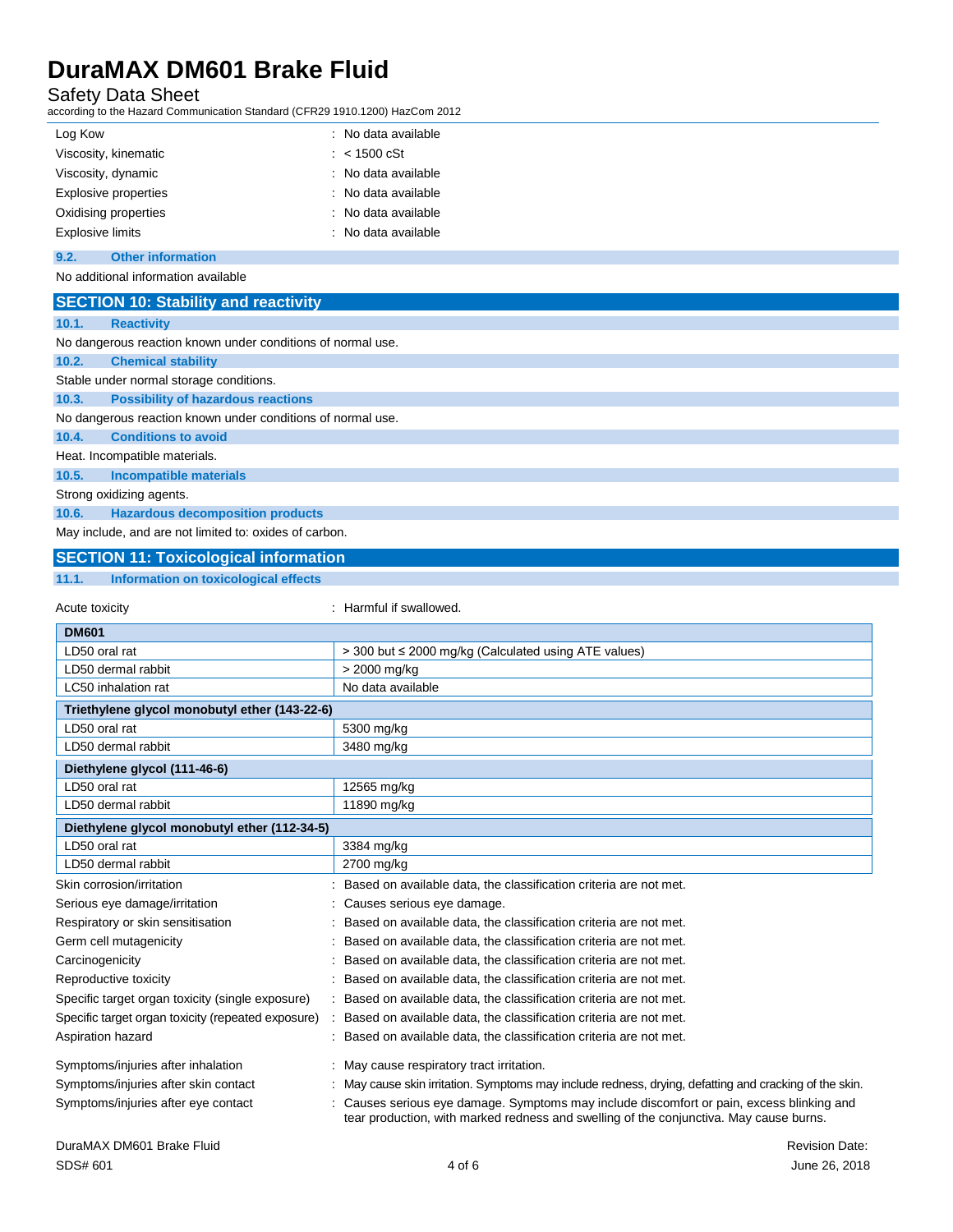Safety Data Sheet according to the Hazard Communication Standard (CFR29 1910.1200) HazCom 2012

| Log Kow                 | : No data available  |
|-------------------------|----------------------|
| Viscosity, kinematic    | $: 1500 \text{ cSt}$ |
| Viscosity, dynamic      | : No data available  |
| Explosive properties    | : No data available  |
| Oxidising properties    | : No data available  |
| <b>Explosive limits</b> | : No data available  |
|                         |                      |

**9.2. Other information**

### No additional information available

**SECTION 10: Stability and reactivity**

| 10.1. | <b>Reactivity</b>                                           |
|-------|-------------------------------------------------------------|
|       | No dangerous reaction known under conditions of normal use. |
| 10.2. | <b>Chemical stability</b>                                   |
|       | Stable under normal storage conditions.                     |
| 10.3. | <b>Possibility of hazardous reactions</b>                   |
|       | No dangerous reaction known under conditions of normal use. |
| 10.4. | <b>Conditions to avoid</b>                                  |
|       | Heat. Incompatible materials.                               |
| 10.5. | Incompatible materials                                      |
|       | Strong oxidizing agents.                                    |
| 10.6. | <b>Hazardous decomposition products</b>                     |

May include, and are not limited to: oxides of carbon.

### **SECTION 11: Toxicological information**

#### **11.1. Information on toxicological effects**

Acute toxicity **in the same of the set of the set of the set of the set of the set of the set of the set of the set of the set of the set of the set of the set of the set of the set of the set of the set of the set of the** 

| <b>DM601</b>                                       |                                                                                                                                                                                   |
|----------------------------------------------------|-----------------------------------------------------------------------------------------------------------------------------------------------------------------------------------|
| LD50 oral rat                                      | > 300 but ≤ 2000 mg/kg (Calculated using ATE values)                                                                                                                              |
| LD50 dermal rabbit                                 | > 2000 mg/kg                                                                                                                                                                      |
| LC50 inhalation rat                                | No data available                                                                                                                                                                 |
| Triethylene glycol monobutyl ether (143-22-6)      |                                                                                                                                                                                   |
| LD50 oral rat                                      | 5300 mg/kg                                                                                                                                                                        |
| LD50 dermal rabbit                                 | 3480 mg/kg                                                                                                                                                                        |
| Diethylene glycol (111-46-6)                       |                                                                                                                                                                                   |
| LD50 oral rat                                      | 12565 mg/kg                                                                                                                                                                       |
| LD50 dermal rabbit                                 | 11890 mg/kg                                                                                                                                                                       |
| Diethylene glycol monobutyl ether (112-34-5)       |                                                                                                                                                                                   |
| LD50 oral rat                                      | 3384 mg/kg                                                                                                                                                                        |
| LD50 dermal rabbit                                 | 2700 mg/kg                                                                                                                                                                        |
| Skin corrosion/irritation                          | Based on available data, the classification criteria are not met.                                                                                                                 |
| Serious eye damage/irritation                      | Causes serious eye damage.                                                                                                                                                        |
| Respiratory or skin sensitisation                  | Based on available data, the classification criteria are not met.                                                                                                                 |
| Germ cell mutagenicity                             | Based on available data, the classification criteria are not met.                                                                                                                 |
| Carcinogenicity                                    | Based on available data, the classification criteria are not met.                                                                                                                 |
| Reproductive toxicity                              | Based on available data, the classification criteria are not met.                                                                                                                 |
| Specific target organ toxicity (single exposure)   | Based on available data, the classification criteria are not met.                                                                                                                 |
| Specific target organ toxicity (repeated exposure) | Based on available data, the classification criteria are not met.                                                                                                                 |
| Aspiration hazard                                  | Based on available data, the classification criteria are not met.                                                                                                                 |
| Symptoms/injuries after inhalation                 | May cause respiratory tract irritation.                                                                                                                                           |
| Symptoms/injuries after skin contact               | May cause skin irritation. Symptoms may include redness, drying, defatting and cracking of the skin.                                                                              |
| Symptoms/injuries after eye contact                | Causes serious eye damage. Symptoms may include discomfort or pain, excess blinking and<br>tear production, with marked redness and swelling of the conjunctiva. May cause burns. |
| DuraMAX DM601 Brake Fluid                          | <b>Revision Date:</b>                                                                                                                                                             |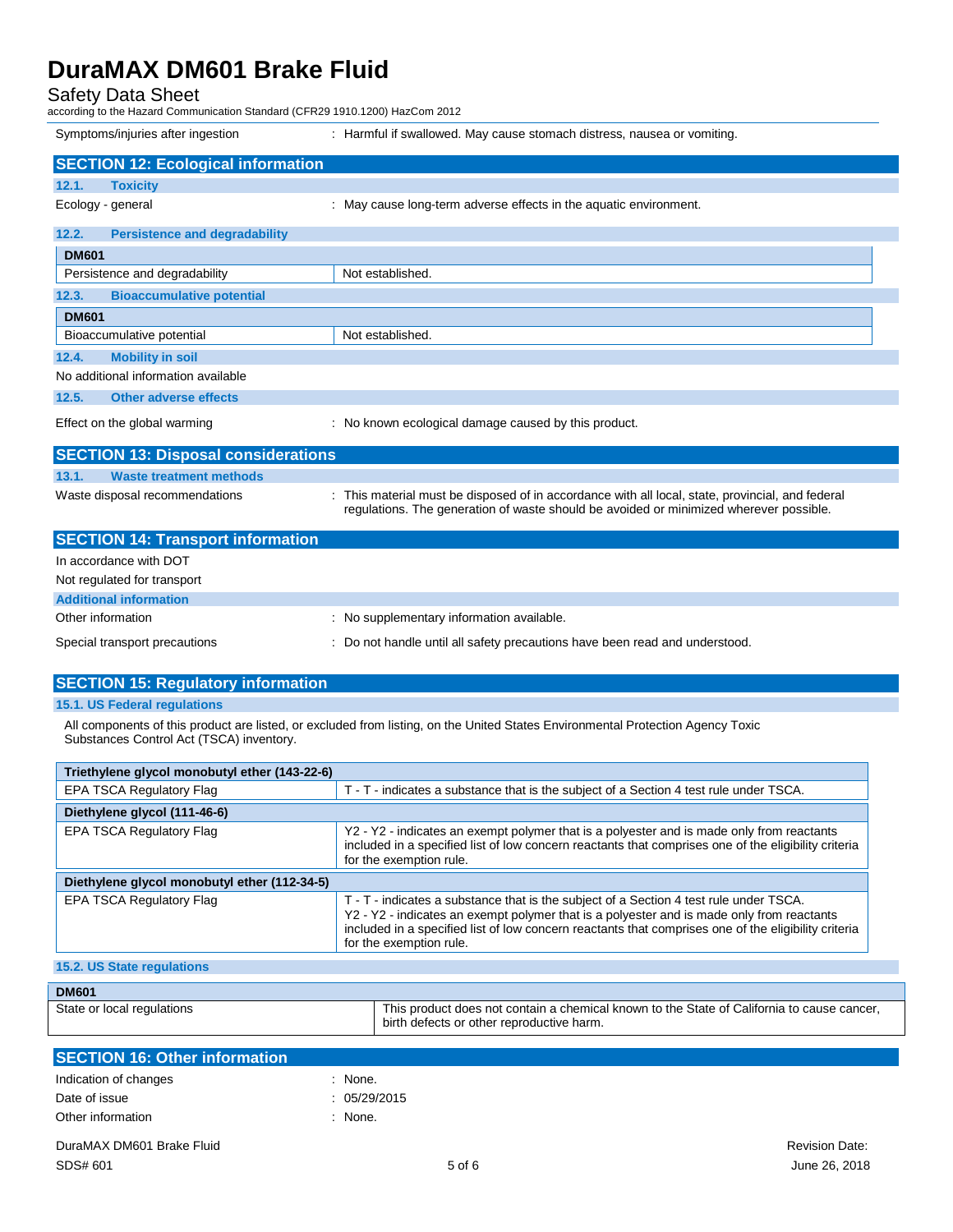Safety Data Sheet

according to the Hazard Communication Standard (CFR29 1910.1200) HazCom 2012

|                   | Symptoms/injuries after ingestion          | : Harmful if swallowed. May cause stomach distress, nausea or vomiting.                                                                                                                    |
|-------------------|--------------------------------------------|--------------------------------------------------------------------------------------------------------------------------------------------------------------------------------------------|
|                   | <b>SECTION 12: Ecological information</b>  |                                                                                                                                                                                            |
| 12.1.             | <b>Toxicity</b>                            |                                                                                                                                                                                            |
| Ecology - general |                                            | : May cause long-term adverse effects in the aquatic environment.                                                                                                                          |
| 12.2.             | <b>Persistence and degradability</b>       |                                                                                                                                                                                            |
| <b>DM601</b>      |                                            |                                                                                                                                                                                            |
|                   | Persistence and degradability              | Not established.                                                                                                                                                                           |
| 12.3.             | <b>Bioaccumulative potential</b>           |                                                                                                                                                                                            |
| <b>DM601</b>      |                                            |                                                                                                                                                                                            |
|                   | Bioaccumulative potential                  | Not established.                                                                                                                                                                           |
| 12.4.             | <b>Mobility in soil</b>                    |                                                                                                                                                                                            |
|                   | No additional information available        |                                                                                                                                                                                            |
| 12.5.             | <b>Other adverse effects</b>               |                                                                                                                                                                                            |
|                   | Effect on the global warming               | : No known ecological damage caused by this product.                                                                                                                                       |
|                   | <b>SECTION 13: Disposal considerations</b> |                                                                                                                                                                                            |
| 13.1.             | <b>Waste treatment methods</b>             |                                                                                                                                                                                            |
|                   | Waste disposal recommendations             | : This material must be disposed of in accordance with all local, state, provincial, and federal<br>regulations. The generation of waste should be avoided or minimized wherever possible. |
|                   | <b>SECTION 14: Transport information</b>   |                                                                                                                                                                                            |
|                   | In accordance with DOT                     |                                                                                                                                                                                            |
|                   | Not regulated for transport                |                                                                                                                                                                                            |
|                   | <b>Additional information</b>              |                                                                                                                                                                                            |
| Other information |                                            | : No supplementary information available.                                                                                                                                                  |
|                   | Special transport precautions              | : Do not handle until all safety precautions have been read and understood.                                                                                                                |

### **SECTION 15: Regulatory information**

#### **15.1. US Federal regulations**

All components of this product are listed, or excluded from listing, on the United States Environmental Protection Agency Toxic Substances Control Act (TSCA) inventory.

| Triethylene glycol monobutyl ether (143-22-6) |                                                                                                                                                                                                                                                                                                                        |  |
|-----------------------------------------------|------------------------------------------------------------------------------------------------------------------------------------------------------------------------------------------------------------------------------------------------------------------------------------------------------------------------|--|
| EPA TSCA Regulatory Flag                      | T - T - indicates a substance that is the subject of a Section 4 test rule under TSCA.                                                                                                                                                                                                                                 |  |
| Diethylene glycol (111-46-6)                  |                                                                                                                                                                                                                                                                                                                        |  |
| <b>EPA TSCA Regulatory Flag</b>               | Y2 - Y2 - indicates an exempt polymer that is a polyester and is made only from reactants<br>included in a specified list of low concern reactants that comprises one of the eligibility criteria<br>for the exemption rule.                                                                                           |  |
| Diethylene glycol monobutyl ether (112-34-5)  |                                                                                                                                                                                                                                                                                                                        |  |
| EPA TSCA Regulatory Flag                      | T - T - indicates a substance that is the subject of a Section 4 test rule under TSCA.<br>Y2 - Y2 - indicates an exempt polymer that is a polyester and is made only from reactants<br>included in a specified list of low concern reactants that comprises one of the eligibility criteria<br>for the exemption rule. |  |
| 15.2. US State regulations                    |                                                                                                                                                                                                                                                                                                                        |  |
| DM <sub>601</sub>                             |                                                                                                                                                                                                                                                                                                                        |  |

| <b>DM601</b>               |                                                                                                                                         |
|----------------------------|-----------------------------------------------------------------------------------------------------------------------------------------|
| State or local regulations | This product does not contain a chemical known to the State of California to cause cancer,<br>birth defects or other reproductive harm. |

| <b>SECTION 16: Other information</b> |            |                       |
|--------------------------------------|------------|-----------------------|
| Indication of changes                | None.      |                       |
| Date of issue                        | 05/29/2015 |                       |
| Other information                    | None.      |                       |
| DuraMAX DM601 Brake Fluid            |            | <b>Revision Date:</b> |